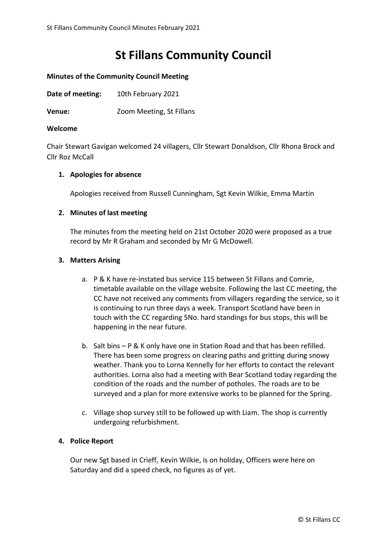# **St Fillans Community Council**

# **Minutes of the Community Council Meeting**

**Date of meeting:** 10th February 2021

**Venue:** Zoom Meeting, St Fillans

#### **Welcome**

Chair Stewart Gavigan welcomed 24 villagers, Cllr Stewart Donaldson, Cllr Rhona Brock and Cllr Roz McCall

## **1. Apologies for absence**

Apologies received from Russell Cunningham, Sgt Kevin Wilkie, Emma Martin

## **2. Minutes of last meeting**

The minutes from the meeting held on 21st October 2020 were proposed as a true record by Mr R Graham and seconded by Mr G McDowell.

## **3. Matters Arising**

- a. P & K have re-instated bus service 115 between St Fillans and Comrie, timetable available on the village website. Following the last CC meeting, the CC have not received any comments from villagers regarding the service, so it is continuing to run three days a week. Transport Scotland have been in touch with the CC regarding 5No. hard standings for bus stops, this will be happening in the near future.
- b. Salt bins P & K only have one in Station Road and that has been refilled. There has been some progress on clearing paths and gritting during snowy weather. Thank you to Lorna Kennelly for her efforts to contact the relevant authorities. Lorna also had a meeting with Bear Scotland today regarding the condition of the roads and the number of potholes. The roads are to be surveyed and a plan for more extensive works to be planned for the Spring.
- c. Village shop survey still to be followed up with Liam. The shop is currently undergoing refurbishment.

#### **4. Police Report**

Our new Sgt based in Crieff, Kevin Wilkie, is on holiday, Officers were here on Saturday and did a speed check, no figures as of yet.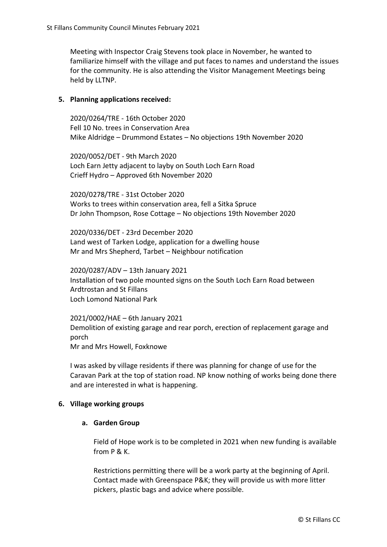Meeting with Inspector Craig Stevens took place in November, he wanted to familiarize himself with the village and put faces to names and understand the issues for the community. He is also attending the Visitor Management Meetings being held by LLTNP.

## **5. Planning applications received:**

2020/0264/TRE - 16th October 2020 Fell 10 No. trees in Conservation Area Mike Aldridge – Drummond Estates – No objections 19th November 2020

2020/0052/DET - 9th March 2020 Loch Earn Jetty adjacent to layby on South Loch Earn Road Crieff Hydro – Approved 6th November 2020

2020/0278/TRE - 31st October 2020 Works to trees within conservation area, fell a Sitka Spruce Dr John Thompson, Rose Cottage – No objections 19th November 2020

2020/0336/DET - 23rd December 2020 Land west of Tarken Lodge, application for a dwelling house Mr and Mrs Shepherd, Tarbet – Neighbour notification

2020/0287/ADV – 13th January 2021 Installation of two pole mounted signs on the South Loch Earn Road between Ardtrostan and St Fillans Loch Lomond National Park

2021/0002/HAE – 6th January 2021 Demolition of existing garage and rear porch, erection of replacement garage and porch Mr and Mrs Howell, Foxknowe

I was asked by village residents if there was planning for change of use for the Caravan Park at the top of station road. NP know nothing of works being done there and are interested in what is happening.

#### **6. Village working groups**

## **a. Garden Group**

Field of Hope work is to be completed in 2021 when new funding is available from P & K.

Restrictions permitting there will be a work party at the beginning of April. Contact made with Greenspace P&K; they will provide us with more litter pickers, plastic bags and advice where possible.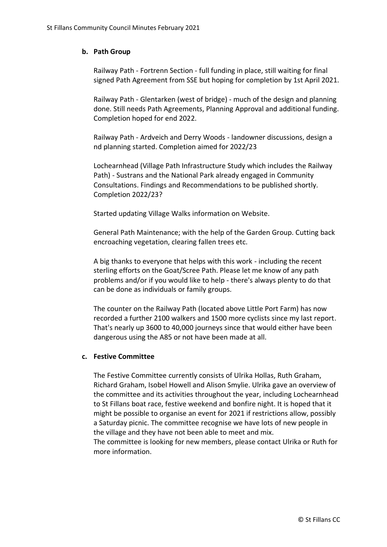# **b. Path Group**

Railway Path - Fortrenn Section - full funding in place, still waiting for final signed Path Agreement from SSE but hoping for completion by 1st April 2021.

Railway Path - Glentarken (west of bridge) - much of the design and planning done. Still needs Path Agreements, Planning Approval and additional funding. Completion hoped for end 2022.

Railway Path - Ardveich and Derry Woods - landowner discussions, design a nd planning started. Completion aimed for 2022/23

Lochearnhead (Village Path Infrastructure Study which includes the Railway Path) - Sustrans and the National Park already engaged in Community Consultations. Findings and Recommendations to be published shortly. Completion 2022/23?

Started updating Village Walks information on Website.

General Path Maintenance; with the help of the Garden Group. Cutting back encroaching vegetation, clearing fallen trees etc.

A big thanks to everyone that helps with this work - including the recent sterling efforts on the Goat/Scree Path. Please let me know of any path problems and/or if you would like to help - there's always plenty to do that can be done as individuals or family groups.

The counter on the Railway Path (located above Little Port Farm) has now recorded a further 2100 walkers and 1500 more cyclists since my last report. That's nearly up 3600 to 40,000 journeys since that would either have been dangerous using the A85 or not have been made at all.

#### **c. Festive Committee**

The Festive Committee currently consists of Ulrika Hollas, Ruth Graham, Richard Graham, Isobel Howell and Alison Smylie. Ulrika gave an overview of the committee and its activities throughout the year, including Lochearnhead to St Fillans boat race, festive weekend and bonfire night. It is hoped that it might be possible to organise an event for 2021 if restrictions allow, possibly a Saturday picnic. The committee recognise we have lots of new people in the village and they have not been able to meet and mix. The committee is looking for new members, please contact Ulrika or Ruth for more information.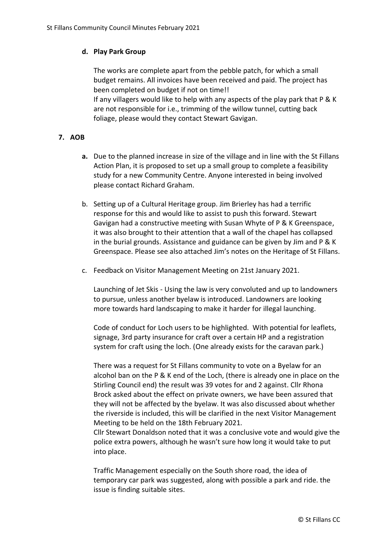# **d. Play Park Group**

The works are complete apart from the pebble patch, for which a small budget remains. All invoices have been received and paid. The project has been completed on budget if not on time!! If any villagers would like to help with any aspects of the play park that P & K are not responsible for i.e., trimming of the willow tunnel, cutting back foliage, please would they contact Stewart Gavigan.

# **7. AOB**

- **a.** Due to the planned increase in size of the village and in line with the St Fillans Action Plan, it is proposed to set up a small group to complete a feasibility study for a new Community Centre. Anyone interested in being involved please contact Richard Graham.
- b. Setting up of a Cultural Heritage group. Jim Brierley has had a terrific response for this and would like to assist to push this forward. Stewart Gavigan had a constructive meeting with Susan Whyte of P & K Greenspace, it was also brought to their attention that a wall of the chapel has collapsed in the burial grounds. Assistance and guidance can be given by Jim and P & K Greenspace. Please see also attached Jim's notes on the Heritage of St Fillans.
- c. Feedback on Visitor Management Meeting on 21st January 2021.

Launching of Jet Skis - Using the law is very convoluted and up to landowners to pursue, unless another byelaw is introduced. Landowners are looking more towards hard landscaping to make it harder for illegal launching.

Code of conduct for Loch users to be highlighted. With potential for leaflets, signage, 3rd party insurance for craft over a certain HP and a registration system for craft using the loch. (One already exists for the caravan park.)

There was a request for St Fillans community to vote on a Byelaw for an alcohol ban on the P & K end of the Loch, (there is already one in place on the Stirling Council end) the result was 39 votes for and 2 against. Cllr Rhona Brock asked about the effect on private owners, we have been assured that they will not be affected by the byelaw. It was also discussed about whether the riverside is included, this will be clarified in the next Visitor Management Meeting to be held on the 18th February 2021.

Cllr Stewart Donaldson noted that it was a conclusive vote and would give the police extra powers, although he wasn't sure how long it would take to put into place.

Traffic Management especially on the South shore road, the idea of temporary car park was suggested, along with possible a park and ride. the issue is finding suitable sites.